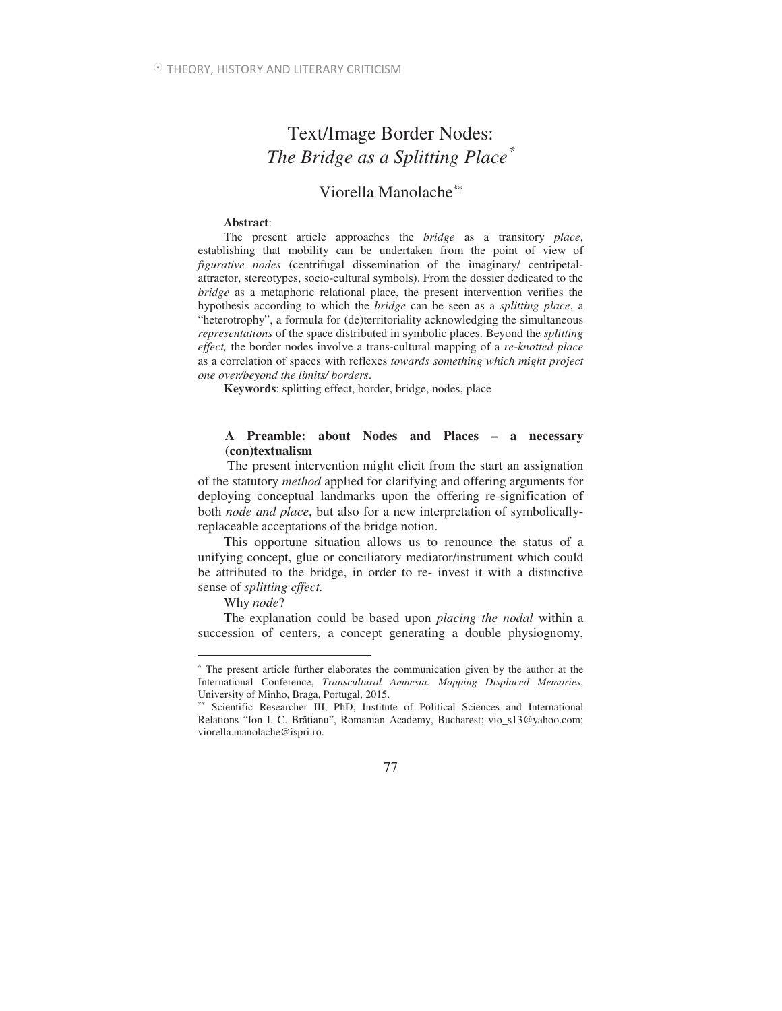# Text/Image Border Nodes: *The Bridge as a Splitting Place*<sup>∗</sup>

## Viorella Manolache∗∗

#### **Abstract**:

The present article approaches the *bridge* as a transitory *place*, establishing that mobility can be undertaken from the point of view of *figurative nodes* (centrifugal dissemination of the imaginary/ centripetalattractor, stereotypes, socio-cultural symbols). From the dossier dedicated to the *bridge* as a metaphoric relational place, the present intervention verifies the hypothesis according to which the *bridge* can be seen as a *splitting place*, a "heterotrophy", a formula for (de)territoriality acknowledging the simultaneous *representations* of the space distributed in symbolic places. Beyond the *splitting effect,* the border nodes involve a trans-cultural mapping of a *re-knotted place* as a correlation of spaces with reflexes *towards something which might project one over/beyond the limits/ borders*.

**Keywords**: splitting effect, border, bridge, nodes, place

### **A Preamble: about Nodes and Places – a necessary (con)textualism**

 The present intervention might elicit from the start an assignation of the statutory *method* applied for clarifying and offering arguments for deploying conceptual landmarks upon the offering re-signification of both *node and place*, but also for a new interpretation of symbolicallyreplaceable acceptations of the bridge notion.

This opportune situation allows us to renounce the status of a unifying concept, glue or conciliatory mediator/instrument which could be attributed to the bridge, in order to re- invest it with a distinctive sense of *splitting effect.* 

Why *node*?

 $\overline{a}$ 

The explanation could be based upon *placing the nodal* within a succession of centers, a concept generating a double physiognomy,

<sup>∗</sup> The present article further elaborates the communication given by the author at the International Conference, *Transcultural Amnesia. Mapping Displaced Memories*, University of Minho, Braga, Portugal, 2015.

<sup>∗∗</sup> Scientific Researcher III, PhD, Institute of Political Sciences and International Relations "Ion I. C. Brătianu", Romanian Academy, Bucharest; vio\_s13@yahoo.com; viorella.manolache@ispri.ro.

<sup>77</sup>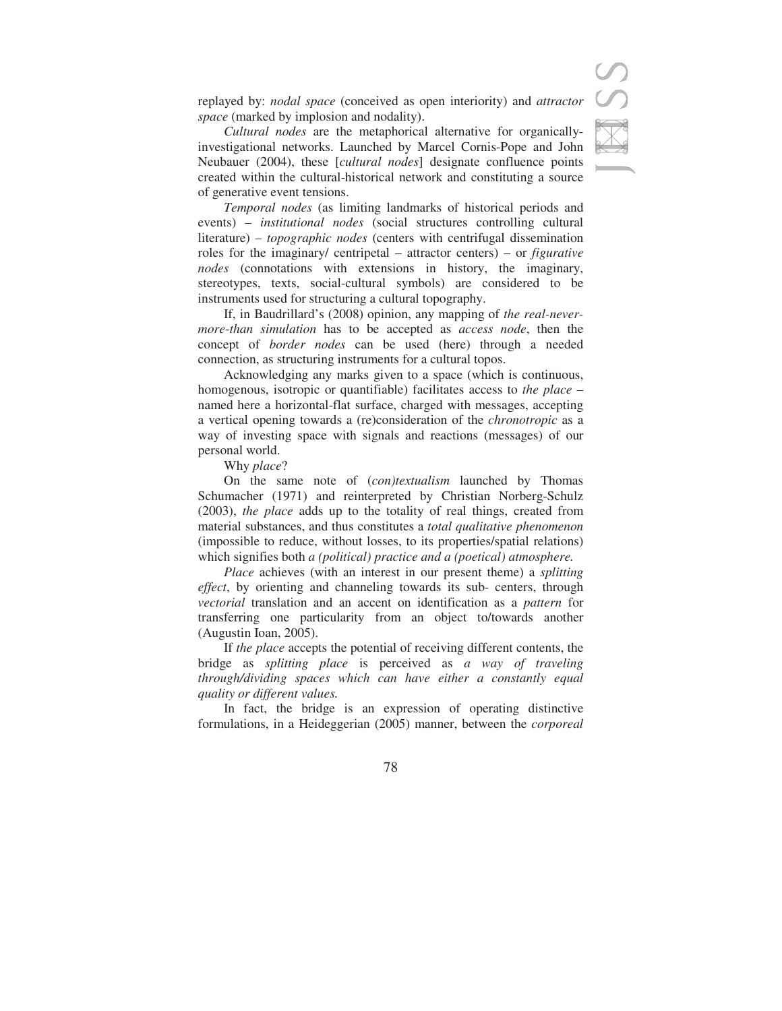replayed by: *nodal space* (conceived as open interiority) and *attractor space* (marked by implosion and nodality).

*Cultural nodes* are the metaphorical alternative for organicallyinvestigational networks. Launched by Marcel Cornis-Pope and John Neubauer (2004), these [*cultural nodes*] designate confluence points created within the cultural-historical network and constituting a source of generative event tensions.

*Temporal nodes* (as limiting landmarks of historical periods and events) – *institutional nodes* (social structures controlling cultural literature) – *topographic nodes* (centers with centrifugal dissemination roles for the imaginary/ centripetal – attractor centers) – or *figurative nodes* (connotations with extensions in history, the imaginary, stereotypes, texts, social-cultural symbols) are considered to be instruments used for structuring a cultural topography.

If, in Baudrillard's (2008) opinion, any mapping of *the real-nevermore-than simulation* has to be accepted as *access node*, then the concept of *border nodes* can be used (here) through a needed connection, as structuring instruments for a cultural topos.

Acknowledging any marks given to a space (which is continuous, homogenous, isotropic or quantifiable) facilitates access to *the place* – named here a horizontal-flat surface, charged with messages, accepting a vertical opening towards a (re)consideration of the *chronotropic* as a way of investing space with signals and reactions (messages) of our personal world.

Why *place*?

On the same note of (*con)textualism* launched by Thomas Schumacher (1971) and reinterpreted by Christian Norberg-Schulz (2003), *the place* adds up to the totality of real things, created from material substances, and thus constitutes a *total qualitative phenomenon* (impossible to reduce, without losses, to its properties/spatial relations) which signifies both *a (political) practice and a (poetical) atmosphere.*

*Place* achieves (with an interest in our present theme) a *splitting effect*, by orienting and channeling towards its sub- centers, through *vectorial* translation and an accent on identification as a *pattern* for transferring one particularity from an object to/towards another (Augustin Ioan, 2005).

If *the place* accepts the potential of receiving different contents, the bridge as *splitting place* is perceived as *a way of traveling through/dividing spaces which can have either a constantly equal quality or different values.* 

In fact, the bridge is an expression of operating distinctive formulations, in a Heideggerian (2005) manner, between the *corporeal*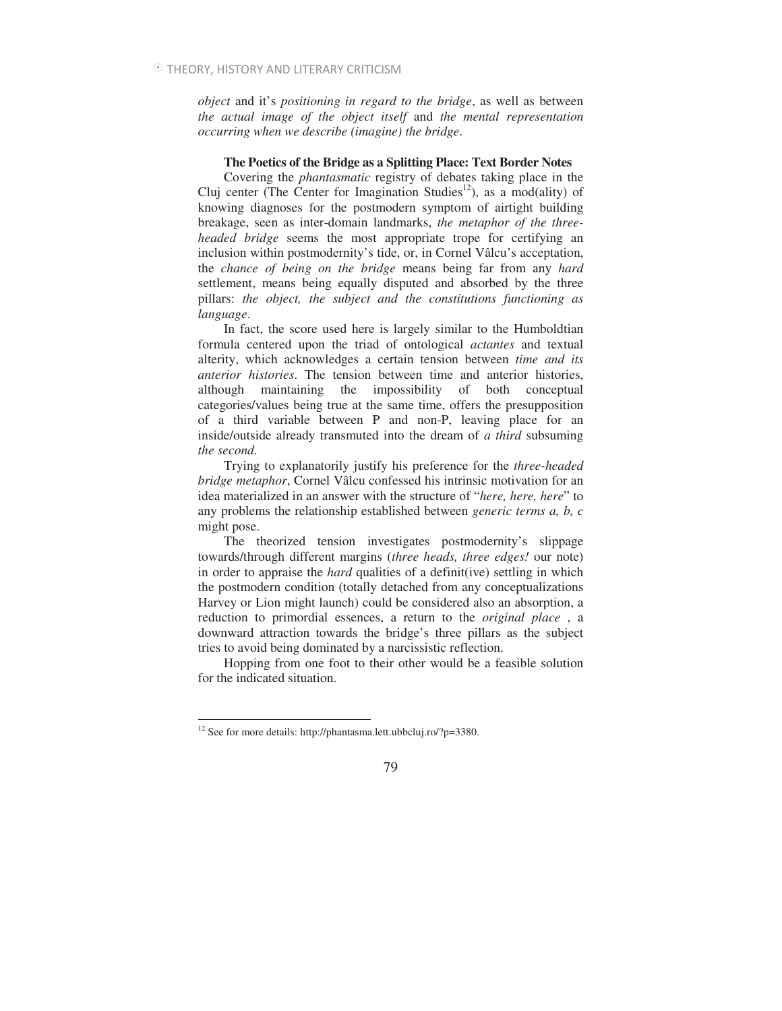*object* and it's *positioning in regard to the bridge*, as well as between *the actual image of the object itself* and *the mental representation occurring when we describe (imagine) the bridge*.

#### **The Poetics of the Bridge as a Splitting Place: Text Border Notes**

Covering the *phantasmatic* registry of debates taking place in the Cluj center (The Center for Imagination Studies<sup>12</sup>), as a mod(ality) of knowing diagnoses for the postmodern symptom of airtight building breakage, seen as inter-domain landmarks, *the metaphor of the threeheaded bridge* seems the most appropriate trope for certifying an inclusion within postmodernity's tide, or, in Cornel Vâlcu's acceptation, the *chance of being on the bridge* means being far from any *hard*  settlement, means being equally disputed and absorbed by the three pillars: *the object, the subject and the constitutions functioning as language*.

In fact, the score used here is largely similar to the Humboldtian formula centered upon the triad of ontological *actantes* and textual alterity, which acknowledges a certain tension between *time and its anterior histories*. The tension between time and anterior histories, although maintaining the impossibility of both conceptual categories/values being true at the same time, offers the presupposition of a third variable between P and non-P, leaving place for an inside/outside already transmuted into the dream of *a third* subsuming *the second.*

Trying to explanatorily justify his preference for the *three-headed bridge metaphor*, Cornel Vâlcu confessed his intrinsic motivation for an idea materialized in an answer with the structure of "*here, here, here*" to any problems the relationship established between *generic terms a, b, c* might pose.

The theorized tension investigates postmodernity's slippage towards/through different margins (*three heads, three edges!* our note) in order to appraise the *hard* qualities of a definit(ive) settling in which the postmodern condition (totally detached from any conceptualizations Harvey or Lion might launch) could be considered also an absorption, a reduction to primordial essences, a return to the *original place* , a downward attraction towards the bridge's three pillars as the subject tries to avoid being dominated by a narcissistic reflection.

Hopping from one foot to their other would be a feasible solution for the indicated situation.

 $\overline{a}$ 

<sup>12</sup> See for more details: http://phantasma.lett.ubbcluj.ro/?p=3380.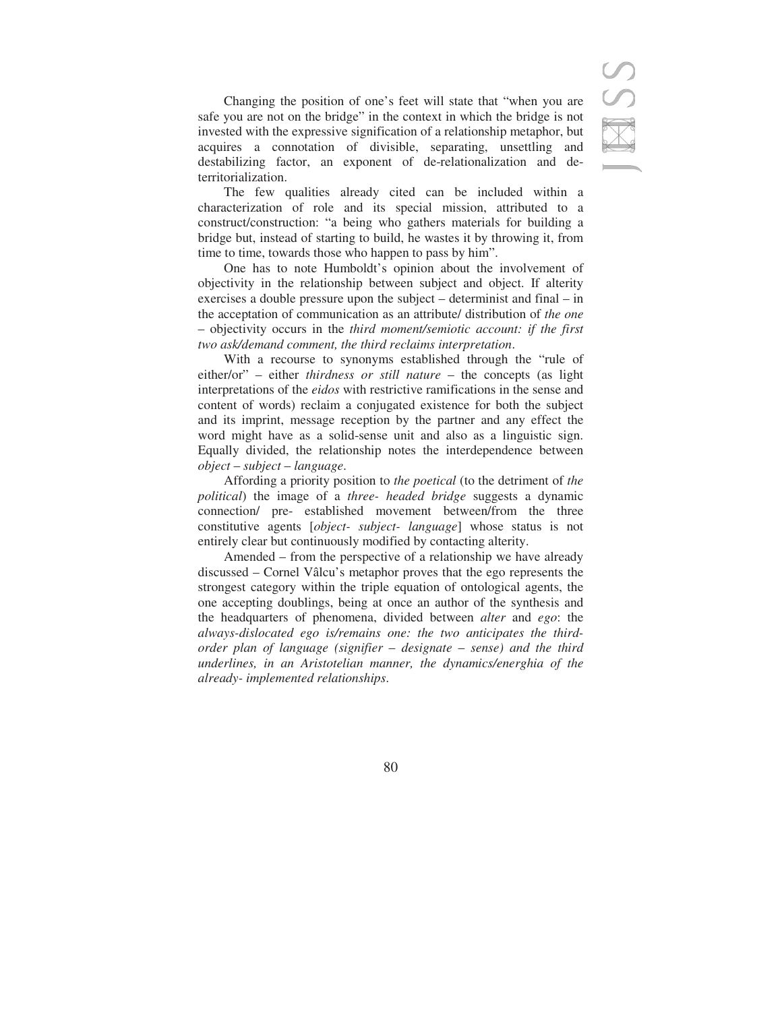Changing the position of one's feet will state that "when you are safe you are not on the bridge" in the context in which the bridge is not invested with the expressive signification of a relationship metaphor, but acquires a connotation of divisible, separating, unsettling and destabilizing factor, an exponent of de-relationalization and deterritorialization.

The few qualities already cited can be included within a characterization of role and its special mission, attributed to a construct/construction: "a being who gathers materials for building a bridge but, instead of starting to build, he wastes it by throwing it, from time to time, towards those who happen to pass by him".

One has to note Humboldt's opinion about the involvement of objectivity in the relationship between subject and object. If alterity exercises a double pressure upon the subject – determinist and final – in the acceptation of communication as an attribute/ distribution of *the one* – objectivity occurs in the *third moment/semiotic account: if the first two ask/demand comment, the third reclaims interpretation*.

With a recourse to synonyms established through the "rule of either/or" – either *thirdness or still nature* – the concepts (as light interpretations of the *eidos* with restrictive ramifications in the sense and content of words) reclaim a conjugated existence for both the subject and its imprint, message reception by the partner and any effect the word might have as a solid-sense unit and also as a linguistic sign. Equally divided, the relationship notes the interdependence between *object* – *subject* – *language*.

Affording a priority position to *the poetical* (to the detriment of *the political*) the image of a *three- headed bridge* suggests a dynamic connection/ pre- established movement between/from the three constitutive agents [*object- subject- language*] whose status is not entirely clear but continuously modified by contacting alterity.

Amended – from the perspective of a relationship we have already discussed – Cornel Vâlcu's metaphor proves that the ego represents the strongest category within the triple equation of ontological agents, the one accepting doublings, being at once an author of the synthesis and the headquarters of phenomena, divided between *alter* and *ego*: the *always-dislocated ego is/remains one: the two anticipates the thirdorder plan of language (signifier* – *designate* – *sense) and the third underlines, in an Aristotelian manner, the dynamics/energhia of the already- implemented relationships*.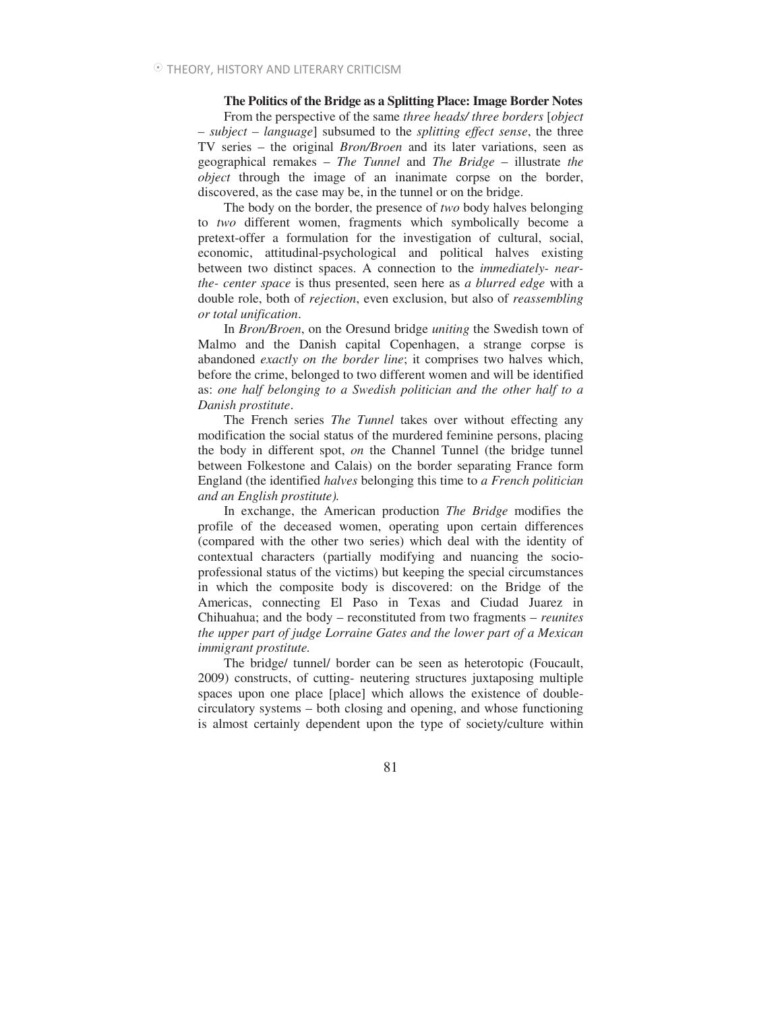**The Politics of the Bridge as a Splitting Place: Image Border Notes** 

From the perspective of the same *three heads/ three borders* [*object – subject – language*] subsumed to the *splitting effect sense*, the three TV series – the original *Bron/Broen* and its later variations, seen as geographical remakes – *The Tunnel* and *The Bridge* – illustrate *the object* through the image of an inanimate corpse on the border, discovered, as the case may be, in the tunnel or on the bridge.

The body on the border, the presence of *two* body halves belonging to *two* different women, fragments which symbolically become a pretext-offer a formulation for the investigation of cultural, social, economic, attitudinal-psychological and political halves existing between two distinct spaces. A connection to the *immediately- nearthe- center space* is thus presented, seen here as *a blurred edge* with a double role, both of *rejection*, even exclusion, but also of *reassembling or total unification*.

In *Bron/Broen*, on the Oresund bridge *uniting* the Swedish town of Malmo and the Danish capital Copenhagen, a strange corpse is abandoned *exactly on the border line*; it comprises two halves which, before the crime, belonged to two different women and will be identified as: *one half belonging to a Swedish politician and the other half to a Danish prostitute*.

The French series *The Tunnel* takes over without effecting any modification the social status of the murdered feminine persons, placing the body in different spot, *on* the Channel Tunnel (the bridge tunnel between Folkestone and Calais) on the border separating France form England (the identified *halves* belonging this time to *a French politician and an English prostitute).* 

In exchange, the American production *The Bridge* modifies the profile of the deceased women, operating upon certain differences (compared with the other two series) which deal with the identity of contextual characters (partially modifying and nuancing the socioprofessional status of the victims) but keeping the special circumstances in which the composite body is discovered: on the Bridge of the Americas, connecting El Paso in Texas and Ciudad Juarez in Chihuahua; and the body – reconstituted from two fragments – *reunites the upper part of judge Lorraine Gates and the lower part of a Mexican immigrant prostitute.* 

The bridge/ tunnel/ border can be seen as heterotopic (Foucault, 2009) constructs, of cutting- neutering structures juxtaposing multiple spaces upon one place [place] which allows the existence of doublecirculatory systems – both closing and opening, and whose functioning is almost certainly dependent upon the type of society/culture within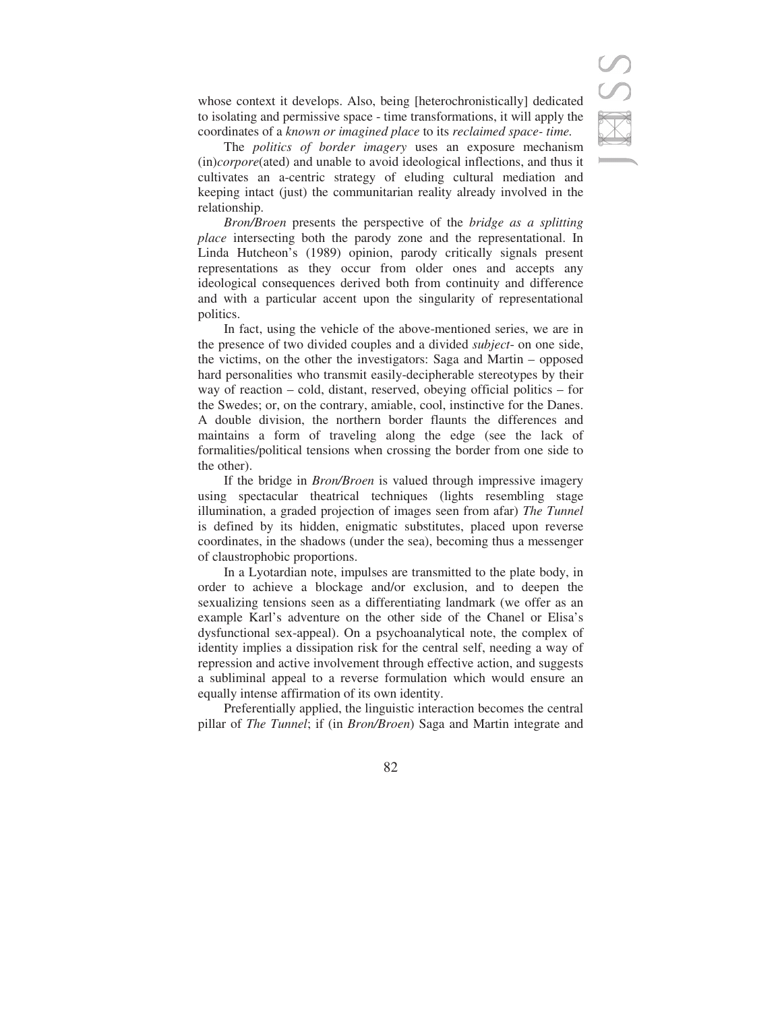whose context it develops. Also, being [heterochronistically] dedicated to isolating and permissive space - time transformations, it will apply the coordinates of a *known or imagined place* to its *reclaimed space- time.* 

The *politics of border imagery* uses an exposure mechanism (in)*corpore*(ated) and unable to avoid ideological inflections, and thus it cultivates an a-centric strategy of eluding cultural mediation and keeping intact (just) the communitarian reality already involved in the relationship.

*Bron/Broen* presents the perspective of the *bridge as a splitting place* intersecting both the parody zone and the representational. In Linda Hutcheon's (1989) opinion, parody critically signals present representations as they occur from older ones and accepts any ideological consequences derived both from continuity and difference and with a particular accent upon the singularity of representational politics.

In fact, using the vehicle of the above-mentioned series, we are in the presence of two divided couples and a divided *subject*- on one side, the victims, on the other the investigators: Saga and Martin – opposed hard personalities who transmit easily-decipherable stereotypes by their way of reaction – cold, distant, reserved, obeying official politics – for the Swedes; or, on the contrary, amiable, cool, instinctive for the Danes. A double division, the northern border flaunts the differences and maintains a form of traveling along the edge (see the lack of formalities/political tensions when crossing the border from one side to the other).

If the bridge in *Bron/Broen* is valued through impressive imagery using spectacular theatrical techniques (lights resembling stage illumination, a graded projection of images seen from afar) *The Tunnel* is defined by its hidden, enigmatic substitutes, placed upon reverse coordinates, in the shadows (under the sea), becoming thus a messenger of claustrophobic proportions.

In a Lyotardian note, impulses are transmitted to the plate body, in order to achieve a blockage and/or exclusion, and to deepen the sexualizing tensions seen as a differentiating landmark (we offer as an example Karl's adventure on the other side of the Chanel or Elisa's dysfunctional sex-appeal). On a psychoanalytical note, the complex of identity implies a dissipation risk for the central self, needing a way of repression and active involvement through effective action, and suggests a subliminal appeal to a reverse formulation which would ensure an equally intense affirmation of its own identity.

Preferentially applied, the linguistic interaction becomes the central pillar of *The Tunnel*; if (in *Bron/Broen*) Saga and Martin integrate and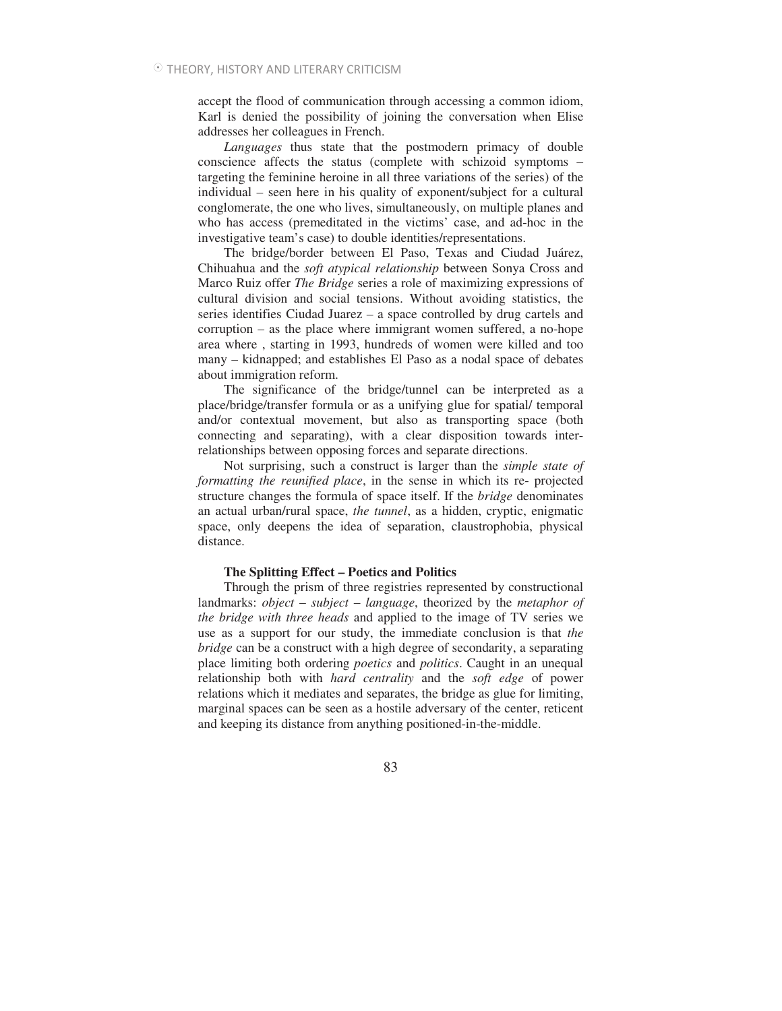accept the flood of communication through accessing a common idiom, Karl is denied the possibility of joining the conversation when Elise addresses her colleagues in French.

*Languages* thus state that the postmodern primacy of double conscience affects the status (complete with schizoid symptoms – targeting the feminine heroine in all three variations of the series) of the individual – seen here in his quality of exponent/subject for a cultural conglomerate, the one who lives, simultaneously, on multiple planes and who has access (premeditated in the victims' case, and ad-hoc in the investigative team's case) to double identities/representations.

The bridge/border between El Paso, Texas and Ciudad Juárez, Chihuahua and the *soft atypical relationship* between Sonya Cross and Marco Ruiz offer *The Bridge* series a role of maximizing expressions of cultural division and social tensions. Without avoiding statistics, the series identifies Ciudad Juarez – a space controlled by drug cartels and corruption – as the place where immigrant women suffered, a no-hope area where , starting in 1993, hundreds of women were killed and too many – kidnapped; and establishes El Paso as a nodal space of debates about immigration reform.

The significance of the bridge/tunnel can be interpreted as a place/bridge/transfer formula or as a unifying glue for spatial/ temporal and/or contextual movement, but also as transporting space (both connecting and separating), with a clear disposition towards interrelationships between opposing forces and separate directions.

Not surprising, such a construct is larger than the *simple state of formatting the reunified place*, in the sense in which its re- projected structure changes the formula of space itself. If the *bridge* denominates an actual urban/rural space, *the tunnel*, as a hidden, cryptic, enigmatic space, only deepens the idea of separation, claustrophobia, physical distance.

#### **The Splitting Effect – Poetics and Politics**

Through the prism of three registries represented by constructional landmarks: *object* – *subject* – *language*, theorized by the *metaphor of the bridge with three heads* and applied to the image of TV series we use as a support for our study, the immediate conclusion is that *the bridge* can be a construct with a high degree of secondarity, a separating place limiting both ordering *poetics* and *politics*. Caught in an unequal relationship both with *hard centrality* and the *soft edge* of power relations which it mediates and separates, the bridge as glue for limiting, marginal spaces can be seen as a hostile adversary of the center, reticent and keeping its distance from anything positioned-in-the-middle.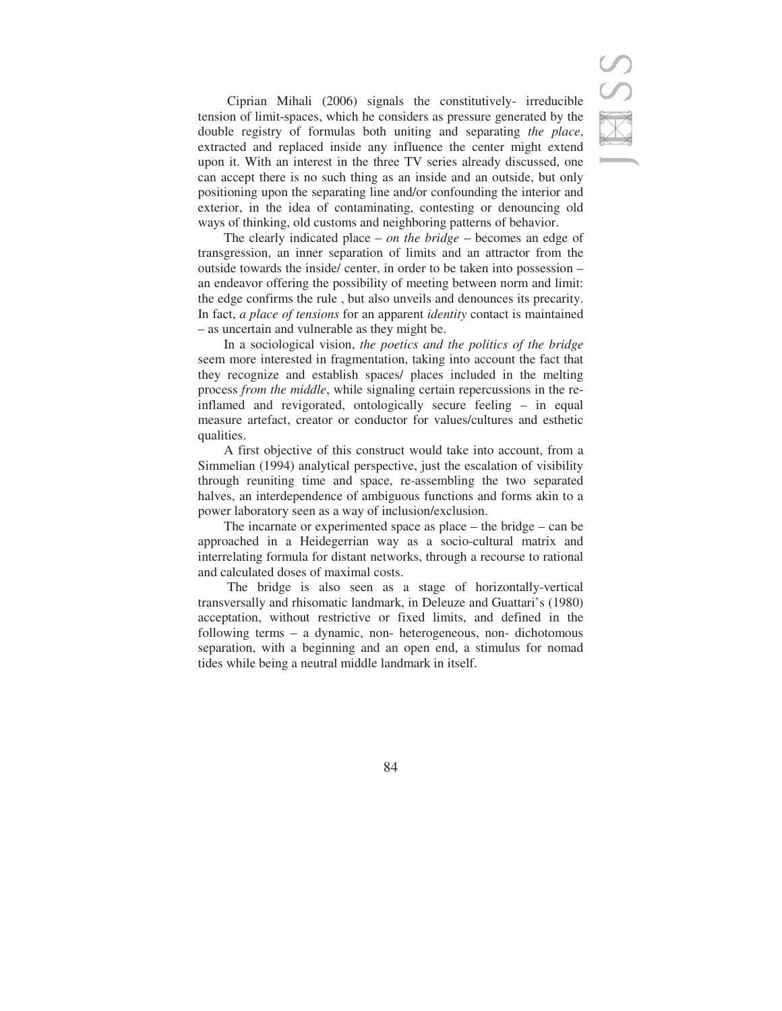Ciprian Mihali (2006) signals the constitutively- irreducible tension of limit-spaces, which he considers as pressure generated by the double registry of formulas both uniting and separating *the place*, extracted and replaced inside any influence the center might extend upon it. With an interest in the three TV series already discussed, one can accept there is no such thing as an inside and an outside, but only positioning upon the separating line and/or confounding the interior and exterior, in the idea of contaminating, contesting or denouncing old ways of thinking, old customs and neighboring patterns of behavior.

The clearly indicated place – *on the bridge* – becomes an edge of transgression, an inner separation of limits and an attractor from the outside towards the inside/ center, in order to be taken into possession – an endeavor offering the possibility of meeting between norm and limit: the edge confirms the rule , but also unveils and denounces its precarity. In fact, *a place of tensions* for an apparent *identity* contact is maintained – as uncertain and vulnerable as they might be.

In a sociological vision, *the poetics and the politics of the bridge* seem more interested in fragmentation, taking into account the fact that they recognize and establish spaces/ places included in the melting process *from the middle*, while signaling certain repercussions in the reinflamed and revigorated, ontologically secure feeling – in equal measure artefact, creator or conductor for values/cultures and esthetic qualities.

A first objective of this construct would take into account, from a Simmelian (1994) analytical perspective, just the escalation of visibility through reuniting time and space, re-assembling the two separated halves, an interdependence of ambiguous functions and forms akin to a power laboratory seen as a way of inclusion/exclusion.

The incarnate or experimented space as place – the bridge – can be approached in a Heidegerrian way as a socio-cultural matrix and interrelating formula for distant networks, through a recourse to rational and calculated doses of maximal costs.

 The bridge is also seen as a stage of horizontally-vertical transversally and rhisomatic landmark, in Deleuze and Guattari's (1980) acceptation, without restrictive or fixed limits, and defined in the following terms – a dynamic, non- heterogeneous, non- dichotomous separation, with a beginning and an open end, a stimulus for nomad tides while being a neutral middle landmark in itself.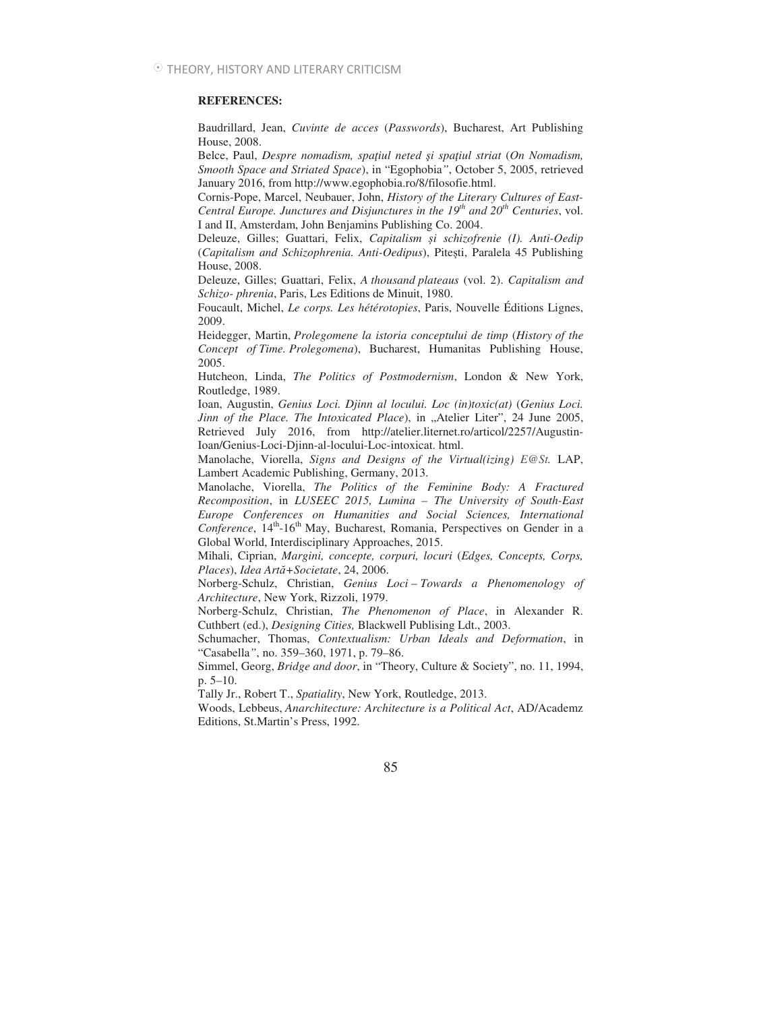#### **REFERENCES:**

Baudrillard, Jean, *Cuvinte de acces* (*Passwords*), Bucharest, Art Publishing House, 2008.

Belce, Paul, *Despre nomadism, spaiul neted -i spaiul striat* (*On Nomadism, Smooth Space and Striated Space*), in "Egophobia*"*, October 5, 2005, retrieved January 2016, from http://www.egophobia.ro/8/filosofie.html.

Cornis-Pope, Marcel, Neubauer, John, *History of the Literary Cultures of East-Central Europe. Junctures and Disjunctures in the 19 th and 20th Centuries*, vol. I and II, Amsterdam, John Benjamins Publishing Co. 2004.

Deleuze, Gilles; Guattari, Felix, *Capitalism i schizofrenie (I). Anti-Oedip* (Capitalism and Schizophrenia. Anti-Oedipus), Pitești, Paralela 45 Publishing House, 2008.

Deleuze, Gilles; Guattari, Felix, *A thousand plateaus* (vol. 2). *Capitalism and Schizo- phrenia*, Paris, Les Editions de Minuit, 1980.

Foucault, Michel, *Le corps. Les hétérotopies*, Paris, Nouvelle Éditions Lignes, 2009.

Heidegger, Martin, *Prolegomene la istoria conceptului de timp* (*History of the Concept of Time. Prolegomena*), Bucharest, Humanitas Publishing House, 2005.

Hutcheon, Linda, *The Politics of Postmodernism*, London & New York, Routledge, 1989.

Ioan, Augustin, *Genius Loci. Djinn al locului. Loc (in)toxic(at)* (*Genius Loci. Jinn of the Place. The Intoxicated Place*), in "Atelier Liter", 24 June 2005, Retrieved July 2016, from http://atelier.liternet.ro/articol/2257/Augustin-Ioan/Genius-Loci-Djinn-al-locului-Loc-intoxicat. html.

Manolache, Viorella, *Signs and Designs of the Virtual(izing) E@St.* LAP, Lambert Academic Publishing, Germany, 2013.

Manolache, Viorella, *The Politics of the Feminine Body: A Fractured Recomposition*, in *LUSEEC 2015, Lumina – The University of South-East Europe Conferences on Humanities and Social Sciences, International Conference*, 14<sup>th</sup>-16<sup>th</sup> May, Bucharest, Romania, Perspectives on Gender in a Global World, Interdisciplinary Approaches, 2015.

Mihali, Ciprian, *Margini, concepte, corpuri, locuri* (*Edges, Concepts, Corps, Places*), *Idea Art+Societate*, 24, 2006.

Norberg-Schulz, Christian, *Genius Loci* – *Towards a Phenomenology of Architecture*, New York, Rizzoli, 1979.

Norberg-Schulz, Christian, *The Phenomenon of Place*, in Alexander R. Cuthbert (ed.), *Designing Cities,* Blackwell Publising Ldt., 2003.

Schumacher, Thomas, *Contextualism: Urban Ideals and Deformation*, in "Casabella*"*, no. 359–360, 1971, p. 79–86.

Simmel, Georg, *Bridge and door*, in "Theory, Culture & Society", no. 11, 1994, p. 5–10.

Tally Jr., Robert T., *Spatiality*, New York, Routledge, 2013.

Woods, Lebbeus, *Anarchitecture: Architecture is a Political Act*, AD/Academz Editions, St.Martin's Press, 1992.